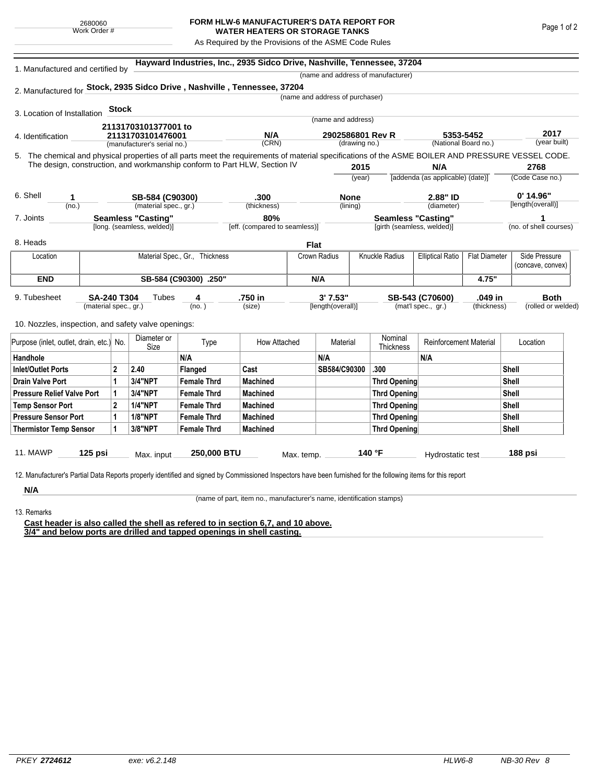## **FORM HLW-6 MANUFACTURER'S DATA REPORT FOR WATER HEATERS OR STORAGE TANKS**

As Required by the Provisions of the ASME Code Rules

| 1. Manufactured and certified by                                                                                                                   |                       |                                                  | Hayward Industries, Inc., 2935 Sidco Drive, Nashville, Tennessee, 37204<br>(name and address of manufacturer) |                                |                               |              |                                   |        |                            |                                   |                      |                        |             |  |
|----------------------------------------------------------------------------------------------------------------------------------------------------|-----------------------|--------------------------------------------------|---------------------------------------------------------------------------------------------------------------|--------------------------------|-------------------------------|--------------|-----------------------------------|--------|----------------------------|-----------------------------------|----------------------|------------------------|-------------|--|
| 2. Manufactured for Stock, 2935 Sidco Drive, Nashville, Tennessee, 37204                                                                           |                       |                                                  |                                                                                                               |                                |                               |              |                                   |        |                            |                                   |                      |                        |             |  |
|                                                                                                                                                    |                       |                                                  |                                                                                                               |                                |                               |              | (name and address of purchaser)   |        |                            |                                   |                      |                        |             |  |
| 3. Location of Installation                                                                                                                        |                       | <b>Stock</b>                                     |                                                                                                               |                                |                               |              |                                   |        |                            |                                   |                      |                        |             |  |
|                                                                                                                                                    |                       |                                                  |                                                                                                               |                                |                               |              | (name and address)                |        |                            |                                   |                      |                        |             |  |
|                                                                                                                                                    |                       |                                                  | 21131703101377001 to                                                                                          |                                | N/A                           |              |                                   |        |                            |                                   |                      |                        | 2017        |  |
| 4. Identification                                                                                                                                  |                       | 21131703101476001<br>(manufacturer's serial no.) |                                                                                                               |                                | (CRN)                         |              | 2902586801 Rev R<br>(drawing no.) |        |                            | 5353-5452<br>(National Board no.) |                      | (year built)           |             |  |
| 5. The chemical and physical properties of all parts meet the requirements of material specifications of the ASME BOILER AND PRESSURE VESSEL CODE. |                       |                                                  |                                                                                                               |                                |                               |              |                                   |        |                            |                                   |                      |                        |             |  |
| The design, construction, and workmanship conform to Part HLW, Section IV                                                                          |                       |                                                  |                                                                                                               |                                |                               |              | 2015                              |        |                            | N/A                               |                      | 2768                   |             |  |
|                                                                                                                                                    |                       |                                                  |                                                                                                               |                                |                               |              | (year)                            |        |                            | [addenda (as applicable) (date)]  |                      | (Code Case no.)        |             |  |
|                                                                                                                                                    |                       |                                                  |                                                                                                               |                                |                               |              |                                   |        |                            |                                   |                      |                        |             |  |
| 6. Shell<br>1                                                                                                                                      |                       | SB-584 (C90300)                                  |                                                                                                               |                                | .300                          |              | <b>None</b>                       |        |                            | 2.88" ID                          |                      | $0'$ 14.96"            |             |  |
| (no.)                                                                                                                                              |                       |                                                  | (material spec., gr.)                                                                                         |                                | (thickness)                   |              | (lining)                          |        |                            | (diameter)                        |                      | [length(overall)]      |             |  |
| 7. Joints                                                                                                                                          |                       | <b>Seamless "Casting"</b>                        |                                                                                                               |                                | 80%                           |              |                                   |        | <b>Seamless "Casting"</b>  |                                   |                      | 1                      |             |  |
|                                                                                                                                                    |                       |                                                  | [long. (seamless, welded)]                                                                                    |                                | [eff. (compared to seamless)] |              |                                   |        | [girth (seamless, welded)] |                                   |                      | (no. of shell courses) |             |  |
| 8. Heads                                                                                                                                           |                       |                                                  |                                                                                                               |                                |                               | <b>Flat</b>  |                                   |        |                            |                                   |                      |                        |             |  |
| Location                                                                                                                                           |                       |                                                  |                                                                                                               | Material Spec., Gr., Thickness |                               | Crown Radius |                                   |        | <b>Knuckle Radius</b>      | <b>Elliptical Ratio</b>           | <b>Flat Diameter</b> | Side Pressure          |             |  |
|                                                                                                                                                    |                       |                                                  |                                                                                                               |                                |                               |              |                                   |        |                            |                                   |                      | (concave, convex)      |             |  |
| <b>END</b>                                                                                                                                         | SB-584 (C90300) .250" |                                                  |                                                                                                               |                                |                               | N/A          |                                   |        |                            |                                   | 4.75"                |                        |             |  |
| 9. Tubesheet                                                                                                                                       | <b>SA-240 T304</b>    |                                                  | Tubes                                                                                                         | 4                              | .750 in                       |              | 3' 7.53"                          |        |                            | SB-543 (C70600)                   | .049 in              |                        | <b>Both</b> |  |
|                                                                                                                                                    | (material spec., gr.) |                                                  |                                                                                                               | (no.)                          | (size)                        |              | [length(overall)]                 |        |                            | (mat'l spec., gr.)                | (thickness)          | (rolled or welded)     |             |  |
|                                                                                                                                                    |                       |                                                  |                                                                                                               |                                |                               |              |                                   |        |                            |                                   |                      |                        |             |  |
| 10. Nozzles, inspection, and safety valve openings:                                                                                                |                       |                                                  |                                                                                                               |                                |                               |              |                                   |        |                            |                                   |                      |                        |             |  |
| Purpose (inlet, outlet, drain, etc.) No.                                                                                                           |                       |                                                  | Diameter or<br>Size                                                                                           | Type                           | How Attached                  |              | Material                          |        | Nominal<br>Thickness       | <b>Reinforcement Material</b>     |                      | Location               |             |  |
| Handhole                                                                                                                                           |                       |                                                  |                                                                                                               | N/A                            |                               |              | N/A                               |        |                            | N/A                               |                      |                        |             |  |
| <b>Inlet/Outlet Ports</b>                                                                                                                          |                       | $\mathbf{2}$                                     | 2.40                                                                                                          | Flanged                        | Cast                          |              | SB584/C90300                      |        | .300                       |                                   |                      | <b>Shell</b>           |             |  |
| <b>Drain Valve Port</b>                                                                                                                            |                       | 1                                                | <b>3/4"NPT</b>                                                                                                | <b>Female Thrd</b>             | <b>Machined</b>               |              |                                   |        | <b>Thrd Opening</b>        |                                   |                      | <b>Shell</b>           |             |  |
| <b>Pressure Relief Valve Port</b>                                                                                                                  |                       | 1                                                | 3/4"NPT                                                                                                       | <b>Female Thrd</b>             | <b>Machined</b>               |              |                                   |        | <b>Thrd Opening</b>        |                                   |                      | Shell                  |             |  |
| <b>Temp Sensor Port</b>                                                                                                                            |                       | $\mathbf{2}$                                     | <b>1/4"NPT</b>                                                                                                | <b>Female Thrd</b>             | <b>Machined</b>               |              |                                   |        | <b>Thrd Opening</b>        |                                   |                      | <b>Shell</b>           |             |  |
| <b>Pressure Sensor Port</b>                                                                                                                        |                       | 1                                                | <b>1/8"NPT</b>                                                                                                | <b>Female Thrd</b>             | <b>Machined</b>               |              |                                   |        | <b>Thrd Opening</b>        |                                   |                      | Shell                  |             |  |
| <b>Thermistor Temp Sensor</b>                                                                                                                      |                       |                                                  | 3/8"NPT                                                                                                       | <b>Female Thrd</b>             | <b>Machined</b>               |              |                                   |        | <b>Thrd Opening</b>        |                                   |                      | Shell                  |             |  |
|                                                                                                                                                    |                       |                                                  |                                                                                                               |                                |                               |              |                                   |        |                            |                                   |                      |                        |             |  |
| 11. MAWP                                                                                                                                           | $125$ psi             |                                                  | Max. input                                                                                                    | 250,000 BTU                    |                               | Max. temp.   |                                   | 140 °F |                            | Hydrostatic test                  |                      | 188 psi                |             |  |

**N/A** 13. Remarks

(name of part, item no., manufacturer's name, identification stamps)

**Cast header is also called the shell as refered to in section 6,7, and 10 above. 3/4" and below ports are drilled and tapped openings in shell casting.**